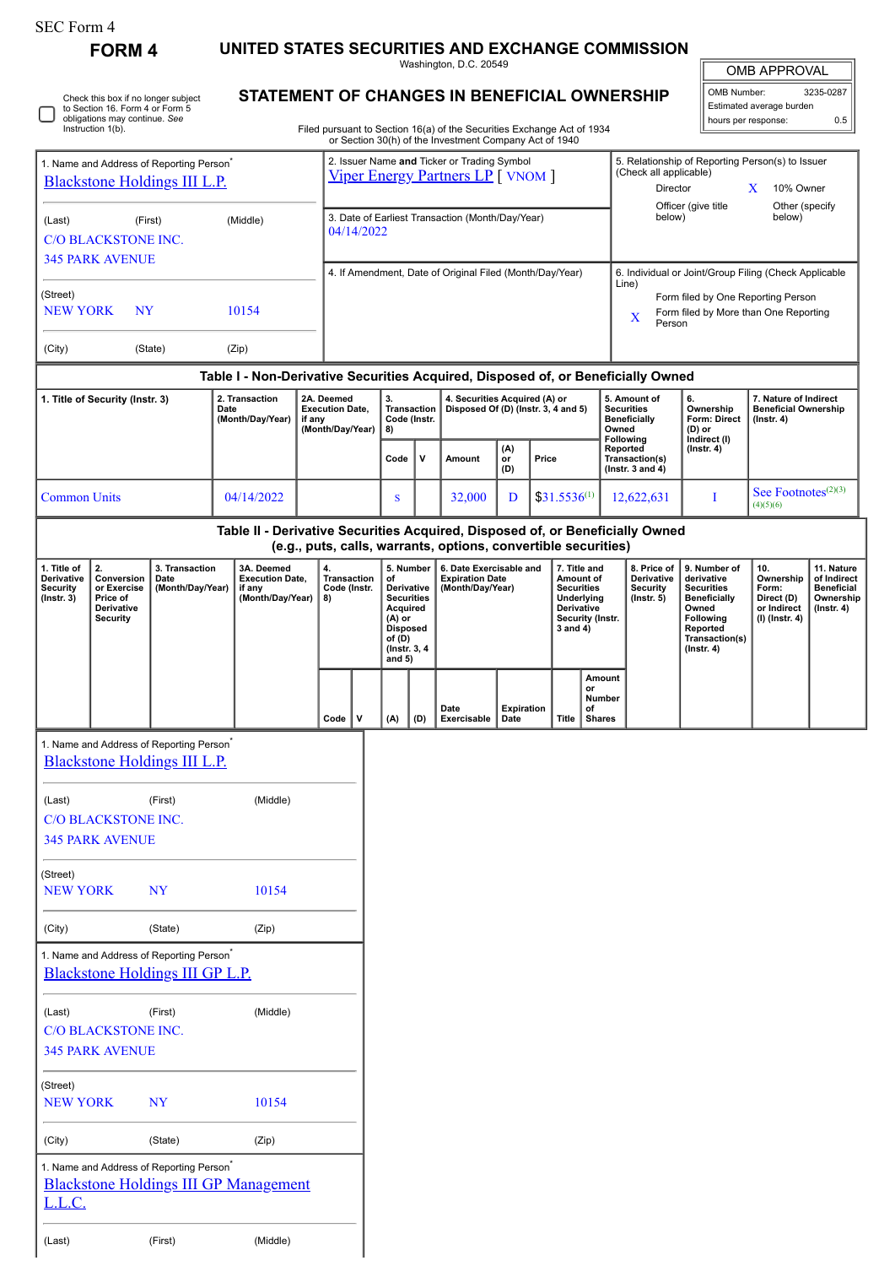| SEC Form 4 |  |
|------------|--|
|------------|--|

Г ٦

Check this box if no longer subject to Section 16. Form 4 or Form 5 obligations may continue. *See* Instruction 1(b).

**FORM 4 UNITED STATES SECURITIES AND EXCHANGE COMMISSION**

Washington, D.C. 20549 **STATEMENT OF CHANGES IN BENEFICIAL OWNERSHIP**

| <b>OMB APPROVAL</b> |           |  |  |  |  |
|---------------------|-----------|--|--|--|--|
| OMB Number:         | 3235-0287 |  |  |  |  |

Estimated average burden hours per response: 0.5

| Filed pursuant to Section 16(a) of the Securities Exchange Act of 1934 |
|------------------------------------------------------------------------|
| or Section 30(h) of the Investment Company Act of 1940                 |

| 1. Name and Address of Reporting Person <sup>7</sup><br>Blackstone Holdings III L.P.  |                                                                                                                            |                                                                                             |                                                                                  | 2. Issuer Name and Ticker or Trading Symbol<br><b>Viper Energy Partners LP</b> [ VNOM ] |                                                          |                                                                      |                                                                                                                             |                                                                                                                                         |                                                                   |       |                                                                                                            | 5. Relationship of Reporting Person(s) to Issuer<br>(Check all applicable)<br>10% Owner<br>Director<br>X<br>Officer (give title<br>Other (specify<br>below)<br>below) |                                                                                            |                                                                                                                                                |                                                                          |                                                                           |  |  |
|---------------------------------------------------------------------------------------|----------------------------------------------------------------------------------------------------------------------------|---------------------------------------------------------------------------------------------|----------------------------------------------------------------------------------|-----------------------------------------------------------------------------------------|----------------------------------------------------------|----------------------------------------------------------------------|-----------------------------------------------------------------------------------------------------------------------------|-----------------------------------------------------------------------------------------------------------------------------------------|-------------------------------------------------------------------|-------|------------------------------------------------------------------------------------------------------------|-----------------------------------------------------------------------------------------------------------------------------------------------------------------------|--------------------------------------------------------------------------------------------|------------------------------------------------------------------------------------------------------------------------------------------------|--------------------------------------------------------------------------|---------------------------------------------------------------------------|--|--|
| (Middle)<br>(First)<br>(Last)<br><b>C/O BLACKSTONE INC.</b><br><b>345 PARK AVENUE</b> |                                                                                                                            |                                                                                             |                                                                                  | 3. Date of Earliest Transaction (Month/Day/Year)<br>04/14/2022                          |                                                          |                                                                      |                                                                                                                             |                                                                                                                                         |                                                                   |       |                                                                                                            |                                                                                                                                                                       |                                                                                            |                                                                                                                                                |                                                                          |                                                                           |  |  |
|                                                                                       |                                                                                                                            |                                                                                             |                                                                                  |                                                                                         | 4. If Amendment, Date of Original Filed (Month/Day/Year) |                                                                      |                                                                                                                             |                                                                                                                                         |                                                                   |       |                                                                                                            |                                                                                                                                                                       | 6. Individual or Joint/Group Filing (Check Applicable<br>Line)                             |                                                                                                                                                |                                                                          |                                                                           |  |  |
| (Street)                                                                              | <b>NEW YORK</b><br><b>NY</b><br>10154                                                                                      |                                                                                             |                                                                                  |                                                                                         |                                                          |                                                                      |                                                                                                                             |                                                                                                                                         |                                                                   |       |                                                                                                            |                                                                                                                                                                       | Form filed by One Reporting Person<br>Form filed by More than One Reporting<br>X<br>Person |                                                                                                                                                |                                                                          |                                                                           |  |  |
| (City)                                                                                |                                                                                                                            | (State)                                                                                     | (Zip)                                                                            |                                                                                         |                                                          |                                                                      |                                                                                                                             |                                                                                                                                         |                                                                   |       |                                                                                                            |                                                                                                                                                                       |                                                                                            |                                                                                                                                                |                                                                          |                                                                           |  |  |
|                                                                                       |                                                                                                                            |                                                                                             | Table I - Non-Derivative Securities Acquired, Disposed of, or Beneficially Owned |                                                                                         |                                                          |                                                                      |                                                                                                                             |                                                                                                                                         |                                                                   |       |                                                                                                            |                                                                                                                                                                       |                                                                                            |                                                                                                                                                |                                                                          |                                                                           |  |  |
|                                                                                       | 2. Transaction<br>1. Title of Security (Instr. 3)<br>Date<br>(Month/Day/Year)<br>if any                                    |                                                                                             | 2A. Deemed<br><b>Execution Date,</b><br>(Month/Day/Year)                         | 3.<br>8)                                                                                | <b>Transaction</b><br>Code (Instr.                       | 4. Securities Acquired (A) or<br>Disposed Of (D) (Instr. 3, 4 and 5) |                                                                                                                             |                                                                                                                                         | 5. Amount of<br><b>Securities</b><br><b>Beneficially</b><br>Owned |       | 6.<br>Ownership<br>Form: Direct<br>(D) or                                                                  | 7. Nature of Indirect<br><b>Beneficial Ownership</b><br>$($ Instr. 4 $)$                                                                                              |                                                                                            |                                                                                                                                                |                                                                          |                                                                           |  |  |
|                                                                                       |                                                                                                                            |                                                                                             |                                                                                  |                                                                                         |                                                          | Code                                                                 | V                                                                                                                           | Amount                                                                                                                                  | $_{\rm or}^{\rm (A)}$<br>(D)                                      | Price |                                                                                                            | <b>Following</b><br>Reported<br>Transaction(s)<br>( $lnstr. 3 and 4$ )                                                                                                |                                                                                            | Indirect (I)<br>(Instr. 4)                                                                                                                     |                                                                          |                                                                           |  |  |
| <b>Common Units</b>                                                                   |                                                                                                                            |                                                                                             | 04/14/2022                                                                       |                                                                                         |                                                          | S                                                                    |                                                                                                                             | 32,000                                                                                                                                  | D                                                                 |       | $$31.5536^{(1)}$$                                                                                          |                                                                                                                                                                       | 12,622,631                                                                                 | I                                                                                                                                              | See Footnotes <sup>(2)(3)</sup><br>(4)(5)(6)                             |                                                                           |  |  |
|                                                                                       |                                                                                                                            |                                                                                             | Table II - Derivative Securities Acquired, Disposed of, or Beneficially Owned    |                                                                                         |                                                          |                                                                      |                                                                                                                             |                                                                                                                                         |                                                                   |       |                                                                                                            |                                                                                                                                                                       |                                                                                            |                                                                                                                                                |                                                                          |                                                                           |  |  |
| 1. Title of<br>Derivative<br>Security<br>$($ Instr. 3 $)$                             | 2.<br>3. Transaction<br>Conversion<br>Date<br>(Month/Day/Year)<br>or Exercise<br>Price of<br>Derivative<br><b>Security</b> |                                                                                             | 3A. Deemed<br><b>Execution Date.</b><br>if any<br>(Month/Day/Year)               |                                                                                         | 4.<br><b>Transaction</b><br>Code (Instr.<br>8)           |                                                                      | 5. Number<br>Derivative<br><b>Securities</b><br>Acquired<br>(A) or<br><b>Disposed</b><br>of (D)<br>(Instr. 3, 4<br>and $5)$ | (e.g., puts, calls, warrants, options, convertible securities)<br>6. Date Exercisable and<br><b>Expiration Date</b><br>(Month/Day/Year) |                                                                   |       | 7. Title and<br>Amount of<br><b>Securities</b><br>Underlying<br>Derivative<br>Security (Instr.<br>3 and 4) |                                                                                                                                                                       | 8. Price of<br>Derivative<br><b>Security</b><br>$($ Instr. 5 $)$                           | 9. Number of<br>derivative<br><b>Securities</b><br><b>Beneficially</b><br>Owned<br>Following<br>Reported<br>Transaction(s)<br>$($ Instr. 4 $)$ | 10.<br>Ownership<br>Form:<br>Direct (D)<br>or Indirect<br>(I) (Instr. 4) | 11. Nature<br>of Indirect<br><b>Beneficial</b><br>Ownership<br>(Instr. 4) |  |  |
|                                                                                       |                                                                                                                            |                                                                                             |                                                                                  |                                                                                         | Code<br>٧                                                | (A)                                                                  | (D)                                                                                                                         | Date<br>Exercisable                                                                                                                     | <b>Expiration</b><br>Date                                         |       | or<br>of<br><b>Title</b>                                                                                   | Amount<br>Number<br><b>Shares</b>                                                                                                                                     |                                                                                            |                                                                                                                                                |                                                                          |                                                                           |  |  |
|                                                                                       |                                                                                                                            | 1. Name and Address of Reporting Person <sup>*</sup><br><b>Blackstone Holdings III L.P.</b> |                                                                                  |                                                                                         |                                                          |                                                                      |                                                                                                                             |                                                                                                                                         |                                                                   |       |                                                                                                            |                                                                                                                                                                       |                                                                                            |                                                                                                                                                |                                                                          |                                                                           |  |  |
| (Last)                                                                                | <b>C/O BLACKSTONE INC.</b><br><b>345 PARK AVENUE</b>                                                                       | (First)                                                                                     | (Middle)                                                                         |                                                                                         |                                                          |                                                                      |                                                                                                                             |                                                                                                                                         |                                                                   |       |                                                                                                            |                                                                                                                                                                       |                                                                                            |                                                                                                                                                |                                                                          |                                                                           |  |  |
| (Street)<br><b>NEW YORK</b>                                                           |                                                                                                                            | <b>NY</b>                                                                                   | 10154                                                                            |                                                                                         |                                                          |                                                                      |                                                                                                                             |                                                                                                                                         |                                                                   |       |                                                                                                            |                                                                                                                                                                       |                                                                                            |                                                                                                                                                |                                                                          |                                                                           |  |  |
| (City)                                                                                |                                                                                                                            | (State)                                                                                     | (Zip)                                                                            |                                                                                         |                                                          |                                                                      |                                                                                                                             |                                                                                                                                         |                                                                   |       |                                                                                                            |                                                                                                                                                                       |                                                                                            |                                                                                                                                                |                                                                          |                                                                           |  |  |
|                                                                                       |                                                                                                                            | 1. Name and Address of Reporting Person <sup>*</sup><br>Blackstone Holdings III GP L.P.     |                                                                                  |                                                                                         |                                                          |                                                                      |                                                                                                                             |                                                                                                                                         |                                                                   |       |                                                                                                            |                                                                                                                                                                       |                                                                                            |                                                                                                                                                |                                                                          |                                                                           |  |  |
| (Last)                                                                                | C/O BLACKSTONE INC.                                                                                                        | (First)                                                                                     | (Middle)                                                                         |                                                                                         |                                                          |                                                                      |                                                                                                                             |                                                                                                                                         |                                                                   |       |                                                                                                            |                                                                                                                                                                       |                                                                                            |                                                                                                                                                |                                                                          |                                                                           |  |  |
|                                                                                       | <b>345 PARK AVENUE</b>                                                                                                     |                                                                                             |                                                                                  |                                                                                         |                                                          |                                                                      |                                                                                                                             |                                                                                                                                         |                                                                   |       |                                                                                                            |                                                                                                                                                                       |                                                                                            |                                                                                                                                                |                                                                          |                                                                           |  |  |
| (Street)<br><b>NEW YORK</b>                                                           |                                                                                                                            | <b>NY</b>                                                                                   | 10154                                                                            |                                                                                         |                                                          |                                                                      |                                                                                                                             |                                                                                                                                         |                                                                   |       |                                                                                                            |                                                                                                                                                                       |                                                                                            |                                                                                                                                                |                                                                          |                                                                           |  |  |
| (City)                                                                                |                                                                                                                            | (State)                                                                                     | (Zip)                                                                            |                                                                                         |                                                          |                                                                      |                                                                                                                             |                                                                                                                                         |                                                                   |       |                                                                                                            |                                                                                                                                                                       |                                                                                            |                                                                                                                                                |                                                                          |                                                                           |  |  |
| L.L.C.                                                                                |                                                                                                                            | 1. Name and Address of Reporting Person <sup>*</sup>                                        | <b>Blackstone Holdings III GP Management</b>                                     |                                                                                         |                                                          |                                                                      |                                                                                                                             |                                                                                                                                         |                                                                   |       |                                                                                                            |                                                                                                                                                                       |                                                                                            |                                                                                                                                                |                                                                          |                                                                           |  |  |
| (Last)                                                                                |                                                                                                                            | (First)                                                                                     | (Middle)                                                                         |                                                                                         |                                                          |                                                                      |                                                                                                                             |                                                                                                                                         |                                                                   |       |                                                                                                            |                                                                                                                                                                       |                                                                                            |                                                                                                                                                |                                                                          |                                                                           |  |  |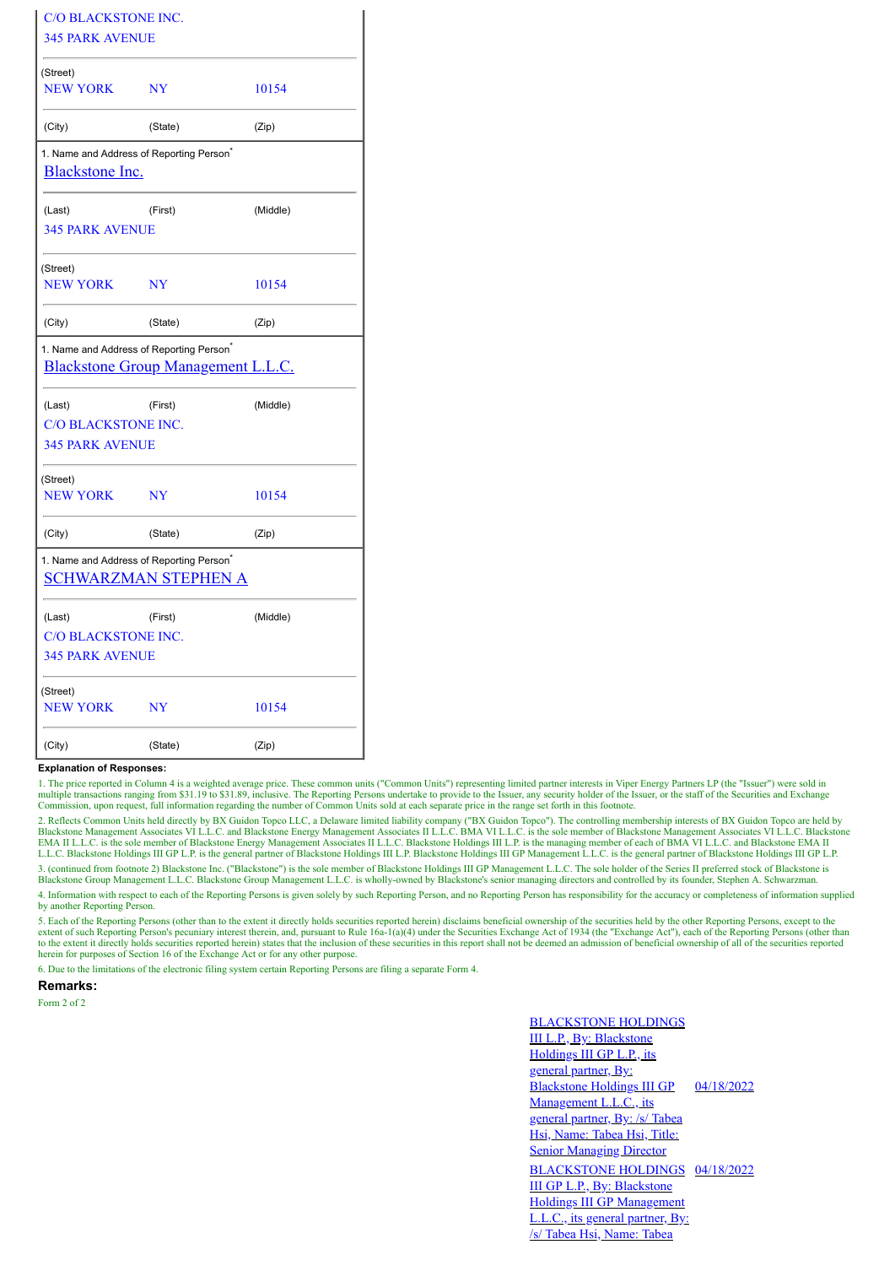| <b>C/O BLACKSTONE INC.</b><br><b>345 PARK AVENUE</b>                                              |         |          |
|---------------------------------------------------------------------------------------------------|---------|----------|
| (Street)<br><b>NEW YORK</b>                                                                       | NY      | 10154    |
| (City)                                                                                            | (State) | (Zip)    |
| 1. Name and Address of Reporting Person <sup>*</sup><br><b>Blackstone Inc.</b>                    |         |          |
| (Last)<br><b>345 PARK AVENUE</b>                                                                  | (First) | (Middle) |
| (Street)<br><b>NEW YORK</b>                                                                       | NY      | 10154    |
| (City)                                                                                            | (State) | (Zip)    |
| 1. Name and Address of Reporting Person <sup>*</sup><br><b>Blackstone Group Management L.L.C.</b> |         |          |
| (Last)<br><b>C/O BLACKSTONE INC.</b><br><b>345 PARK AVENUE</b>                                    | (First) | (Middle) |
| (Street)<br><b>NEW YORK</b>                                                                       | NY      | 10154    |
| (City)                                                                                            | (State) | (Zip)    |
| 1. Name and Address of Reporting Person <sup>*</sup><br><b>SCHWARZMAN STEPHEN A</b>               |         |          |
| (Last)<br><b>C/O BLACKSTONE INC.</b><br><b>345 PARK AVENUE</b>                                    | (First) | (Middle) |
| (Street)<br><b>NEW YORK</b>                                                                       | NY      | 10154    |
| (City)                                                                                            | (State) | (Zip)    |

## **Explanation of Responses:**

1. The price reported in Column 4 is a weighted average price. These common units ("Common Units") representing limited partner interests in Viper Energy Partners LP (the "Issuer") were sold in multiple transactions rangin

2. Reflects Common Units held directly by BX Guidon Topco LLC, a Delaware limited liability company ("BX Guidon Topco"). The controlling membership interests of BX Guidon Topco are held by<br>Blackstone Management Associates EMA II L.L.C. is the sole member of Blackstone Energy Management Associates II L.L.C. Blackstone Holdings III L.P. is the managing member of each of BMA VI L.L.C. and Blackstone EMA II<br>L.L.C. Blackstone Holdings III GP L.P

3. (continued from footnote 2) Blackstone Inc. ("Blackstone") is the sole member of Blackstone Holdings III GP Management L.L.C. The sole holder of the Series II preferred stock of Blackstone is<br>Blackstone Group Management

4. Information with respect to each of the Reporting Persons is given solely by such Reporting Person, and no Reporting Person has responsibility for the accuracy or completeness of information supplied by another Reporting Person.

5. Each of the Reporting Persons (other than to the extent it directly holds securities reported herein) disclaims beneficial ownership of the securities held by the other Reporting Persons, except to the extent of such Re to the extent it directly holds securities reported herein) states that the inclusion of these securities in this report shall not be deemed an admission of beneficial ownership of all of the securities reported herein for purposes of Section 16 of the Exchange Act or for any other purpose.

6. Due to the limitations of the electronic filing system certain Reporting Persons are filing a separate Form 4.

## **Remarks:**

Form 2 of 2

BLACKSTONE HOLDINGS III L.P., By: Blackstone Holdings III GP L.P., its general partner, By: Blackstone Holdings III GP Management L.L.C., its general partner, By: /s/ Tabea Hsi, Name: Tabea Hsi, Title: **Senior Managing Director** 04/18/2022 BLACKSTONE HOLDINGS 04/18/2022III GP L.P., By: Blackstone Holdings III GP Management L.L.C., its general partner, By: /s/ Tabea Hsi, Name: Tabea